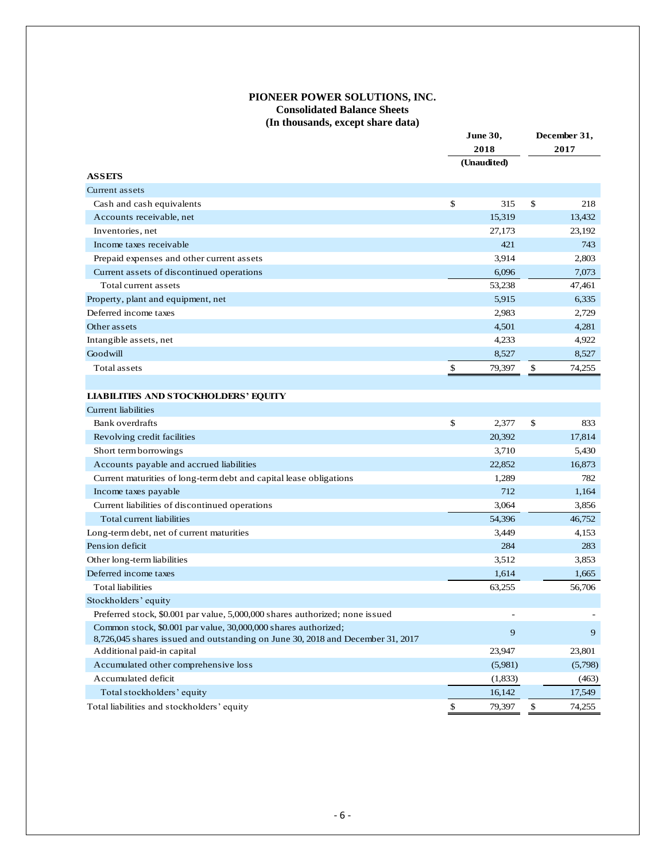## **PIONEER POWER SOLUTIONS, INC. Consolidated Balance Sheets (In thousands, except share data)**

|                                                                                |                     | June 30, | December 31, |                  |  |
|--------------------------------------------------------------------------------|---------------------|----------|--------------|------------------|--|
|                                                                                | 2018<br>(Unaudited) |          | 2017         |                  |  |
|                                                                                |                     |          |              |                  |  |
| <b>ASSETS</b>                                                                  |                     |          |              |                  |  |
| Current assets                                                                 |                     |          |              |                  |  |
| Cash and cash equivalents                                                      | \$                  | 315      | \$           | 218              |  |
| Accounts receivable, net                                                       |                     | 15,319   |              | 13,432           |  |
| Inventories, net                                                               |                     | 27,173   |              | 23,192           |  |
| Income taxes receivable                                                        |                     | 421      |              | 743              |  |
| Prepaid expenses and other current assets                                      |                     | 3,914    |              | 2,803            |  |
| Current assets of discontinued operations                                      |                     | 6,096    |              | 7,073            |  |
| Total current assets                                                           |                     | 53,238   |              | 47,461           |  |
| Property, plant and equipment, net                                             |                     | 5,915    |              | 6,335            |  |
| Deferred income taxes                                                          |                     | 2,983    |              | 2,729            |  |
| Other assets                                                                   |                     | 4,501    |              | 4,281            |  |
| Intangible assets, net                                                         |                     | 4,233    |              | 4,922            |  |
| Goodwill                                                                       |                     | 8,527    |              | 8,527            |  |
| Total assets                                                                   | \$                  | 79,397   | \$           | 74,255           |  |
|                                                                                |                     |          |              |                  |  |
| <b>LIABILITIES AND STOCKHOLDERS' EQUITY</b>                                    |                     |          |              |                  |  |
| <b>Current liabilities</b>                                                     |                     |          |              |                  |  |
| Bank overdrafts                                                                | \$                  | 2,377    | \$           | 833              |  |
| Revolving credit facilities                                                    |                     | 20,392   |              | 17,814           |  |
| Short term borrowings                                                          |                     | 3,710    |              | 5,430            |  |
| Accounts payable and accrued liabilities                                       |                     | 22,852   |              | 16,873           |  |
| Current maturities of long-term debt and capital lease obligations             |                     | 1,289    |              | 782              |  |
| Income taxes payable                                                           |                     | 712      |              | 1,164            |  |
| Current liabilities of discontinued operations                                 |                     | 3,064    |              | 3,856            |  |
| Total current liabilities                                                      |                     | 54,396   |              | 46,752           |  |
| Long-term debt, net of current maturities                                      |                     | 3,449    |              | 4,153            |  |
| Pension deficit                                                                |                     | 284      |              | 283              |  |
| Other long-term liabilities                                                    |                     | 3,512    |              | 3,853            |  |
| Deferred income taxes                                                          |                     | 1,614    |              | 1,665            |  |
| <b>Total liabilities</b>                                                       |                     | 63,255   |              | 56,706           |  |
| Stockholders' equity                                                           |                     |          |              |                  |  |
| Preferred stock, \$0.001 par value, 5,000,000 shares authorized; none issued   |                     |          |              |                  |  |
| Common stock, \$0.001 par value, 30,000,000 shares authorized;                 |                     | 9        |              | $\boldsymbol{9}$ |  |
| 8,726,045 shares issued and outstanding on June 30, 2018 and December 31, 2017 |                     |          |              |                  |  |
| Additional paid-in capital                                                     |                     | 23,947   |              | 23,801           |  |
| Accumulated other comprehensive loss                                           |                     | (5,981)  |              | (5,798)          |  |
| Accumulated deficit                                                            |                     | (1,833)  |              | (463)            |  |
| Total stockholders' equity                                                     |                     | 16,142   |              | 17,549           |  |
| Total liabilities and stockholders' equity                                     | \$                  | 79,397   | \$           | 74,255           |  |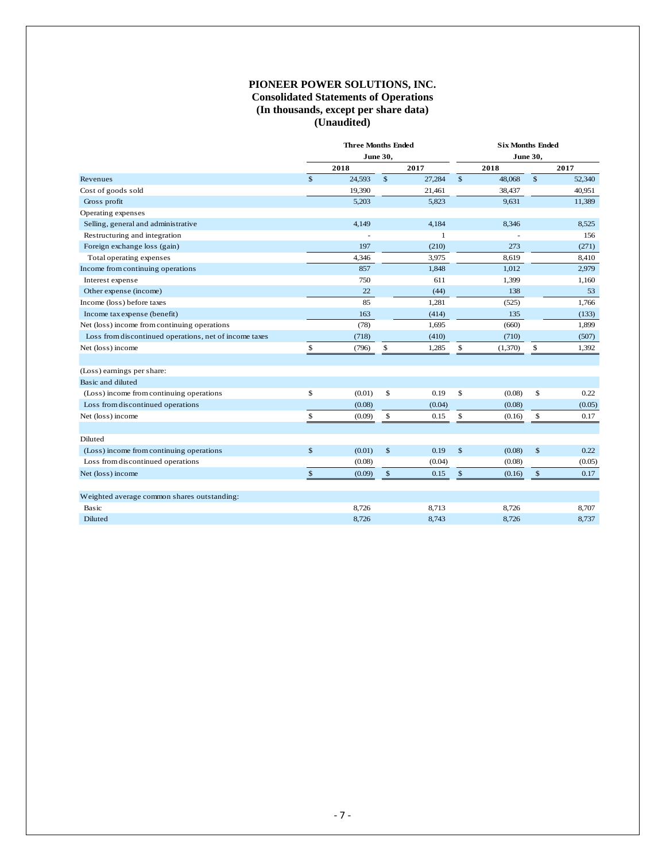## **PIONEER POWER SOLUTIONS, INC. Consolidated Statements of Operations (In thousands, except per share data) (Unaudited)**

|                                                        | <b>Three Months Ended</b><br><b>June 30,</b> |        |              |              | <b>Six Months Ended</b> |         |              |        |  |  |  |
|--------------------------------------------------------|----------------------------------------------|--------|--------------|--------------|-------------------------|---------|--------------|--------|--|--|--|
|                                                        |                                              |        |              |              | June 30,                |         |              |        |  |  |  |
|                                                        |                                              | 2018   |              | 2017         |                         | 2018    |              | 2017   |  |  |  |
| Revenues                                               | $\mathbb{S}$                                 | 24,593 | $\mathbb{S}$ | 27,284       | $\mathsf{\$}$           | 48,068  | \$           | 52,340 |  |  |  |
| Cost of goods sold                                     |                                              | 19,390 |              | 21,461       |                         | 38,437  |              | 40,951 |  |  |  |
| Gross profit                                           |                                              | 5,203  |              | 5,823        |                         | 9,631   |              | 11,389 |  |  |  |
| Operating expenses                                     |                                              |        |              |              |                         |         |              |        |  |  |  |
| Selling, general and administrative                    |                                              | 4,149  |              | 4,184        |                         | 8,346   |              | 8,525  |  |  |  |
| Restructuring and integration                          |                                              |        |              | $\mathbf{1}$ |                         |         |              | 156    |  |  |  |
| Foreign exchange loss (gain)                           |                                              | 197    |              | (210)        |                         | 273     |              | (271)  |  |  |  |
| Total operating expenses                               |                                              | 4,346  |              | 3,975        |                         | 8.619   |              | 8,410  |  |  |  |
| Income from continuing operations                      |                                              | 857    |              | 1,848        |                         | 1,012   |              | 2,979  |  |  |  |
| Interest expense                                       |                                              | 750    |              | 611          |                         | 1,399   |              | 1,160  |  |  |  |
| Other expense (income)                                 |                                              | 22     |              | (44)         |                         | 138     |              | 53     |  |  |  |
| Income (loss) before taxes                             |                                              | 85     |              | 1,281        |                         | (525)   |              | 1,766  |  |  |  |
| Income tax expense (benefit)                           |                                              | 163    |              | (414)        |                         | 135     |              | (133)  |  |  |  |
| Net (loss) income from continuing operations           |                                              | (78)   |              | 1,695        |                         | (660)   |              | 1,899  |  |  |  |
| Loss from discontinued operations, net of income taxes |                                              | (718)  |              | (410)        |                         | (710)   |              | (507)  |  |  |  |
| Net (loss) income                                      | \$                                           | (796)  | \$           | 1,285        | \$                      | (1,370) | \$           | 1,392  |  |  |  |
|                                                        |                                              |        |              |              |                         |         |              |        |  |  |  |
| (Loss) earnings per share:                             |                                              |        |              |              |                         |         |              |        |  |  |  |
| Basic and diluted                                      |                                              |        |              |              |                         |         |              |        |  |  |  |
| (Loss) income from continuing operations               | \$                                           | (0.01) | \$           | 0.19         | \$                      | (0.08)  | \$           | 0.22   |  |  |  |
| Loss from discontinued operations                      |                                              | (0.08) |              | (0.04)       |                         | (0.08)  |              | (0.05) |  |  |  |
| Net (loss) income                                      | $\mathbb{S}$                                 | (0.09) | \$           | 0.15         | \$                      | (0.16)  | \$           | 0.17   |  |  |  |
|                                                        |                                              |        |              |              |                         |         |              |        |  |  |  |
| Diluted                                                |                                              |        |              |              |                         |         |              |        |  |  |  |
| (Loss) income from continuing operations               | \$                                           | (0.01) | $\mathbb{S}$ | 0.19         | $\mathsf{\$}$           | (0.08)  | $\mathbb{S}$ | 0.22   |  |  |  |
| Loss from discontinued operations                      |                                              | (0.08) |              | (0.04)       |                         | (0.08)  |              | (0.05) |  |  |  |
| Net (loss) income                                      | $\mathsf{\$}$                                | (0.09) | $\mathbb{S}$ | 0.15         | $\mathsf{\$}$           | (0.16)  | $\mathbb{S}$ | 0.17   |  |  |  |
|                                                        |                                              |        |              |              |                         |         |              |        |  |  |  |
| Weighted average common shares outstanding:            |                                              |        |              |              |                         |         |              |        |  |  |  |
| Basic                                                  |                                              | 8,726  |              | 8,713        |                         | 8,726   |              | 8,707  |  |  |  |
| Diluted                                                |                                              | 8,726  |              | 8,743        |                         | 8,726   |              | 8,737  |  |  |  |
|                                                        |                                              |        |              |              |                         |         |              |        |  |  |  |